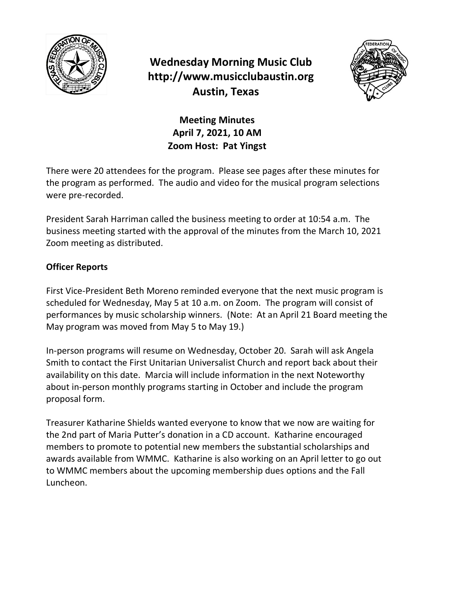

# **Wednesday Morning Music Club http://www.musicclubaustin.org Austin, Texas**



# **Meeting Minutes April 7, 2021, 10 AM Zoom Host: Pat Yingst**

There were 20 attendees for the program. Please see pages after these minutes for the program as performed. The audio and video for the musical program selections were pre-recorded.

President Sarah Harriman called the business meeting to order at 10:54 a.m. The business meeting started with the approval of the minutes from the March 10, 2021 Zoom meeting as distributed.

### **Officer Reports**

First Vice-President Beth Moreno reminded everyone that the next music program is scheduled for Wednesday, May 5 at 10 a.m. on Zoom. The program will consist of performances by music scholarship winners. (Note: At an April 21 Board meeting the May program was moved from May 5 to May 19.)

In-person programs will resume on Wednesday, October 20. Sarah will ask Angela Smith to contact the First Unitarian Universalist Church and report back about their availability on this date. Marcia will include information in the next Noteworthy about in-person monthly programs starting in October and include the program proposal form.

Treasurer Katharine Shields wanted everyone to know that we now are waiting for the 2nd part of Maria Putter's donation in a CD account. Katharine encouraged members to promote to potential new members the substantial scholarships and awards available from WMMC. Katharine is also working on an April letter to go out to WMMC members about the upcoming membership dues options and the Fall Luncheon.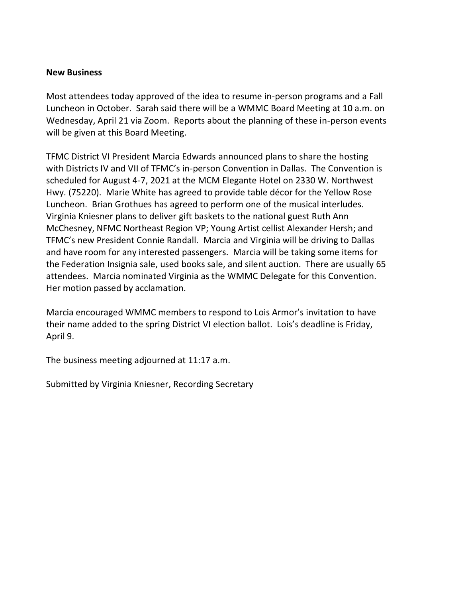#### **New Business**

Most attendees today approved of the idea to resume in-person programs and a Fall Luncheon in October. Sarah said there will be a WMMC Board Meeting at 10 a.m. on Wednesday, April 21 via Zoom. Reports about the planning of these in-person events will be given at this Board Meeting.

TFMC District VI President Marcia Edwards announced plans to share the hosting with Districts IV and VII of TFMC's in-person Convention in Dallas. The Convention is scheduled for August 4-7, 2021 at the MCM Elegante Hotel on 2330 W. Northwest Hwy. (75220). Marie White has agreed to provide table décor for the Yellow Rose Luncheon. Brian Grothues has agreed to perform one of the musical interludes. Virginia Kniesner plans to deliver gift baskets to the national guest Ruth Ann McChesney, NFMC Northeast Region VP; Young Artist cellist Alexander Hersh; and TFMC's new President Connie Randall. Marcia and Virginia will be driving to Dallas and have room for any interested passengers. Marcia will be taking some items for the Federation Insignia sale, used books sale, and silent auction. There are usually 65 attendees. Marcia nominated Virginia as the WMMC Delegate for this Convention. Her motion passed by acclamation.

Marcia encouraged WMMC members to respond to Lois Armor's invitation to have their name added to the spring District VI election ballot. Lois's deadline is Friday, April 9.

The business meeting adjourned at 11:17 a.m.

Submitted by Virginia Kniesner, Recording Secretary